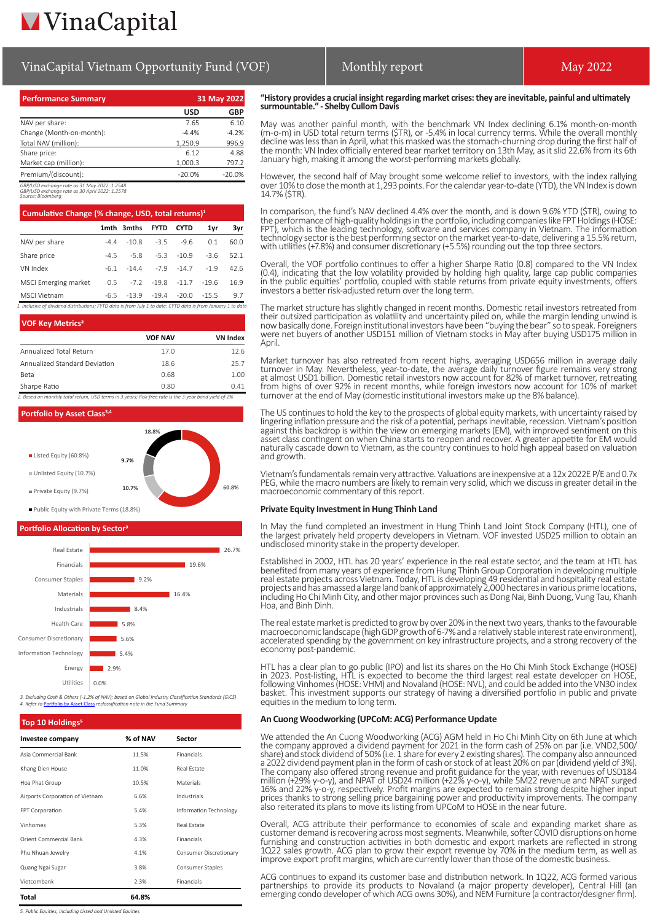## VinaCapital Vietnam Opportunity Fund (VOF) Monthly report National May 2022

| <b>Performance Summary</b>                   | 31 May 2022 |          |  |
|----------------------------------------------|-------------|----------|--|
|                                              | USD         | GBP      |  |
| NAV per share:                               | 7.65        | 6.10     |  |
| Change (Month-on-month):                     | $-4.4%$     | $-4.2%$  |  |
| Total NAV (million):                         | 1,250.9     | 996.9    |  |
| Share price:                                 | 6.12        | 4.88     |  |
| Market cap (million):                        | 1,000.3     | 797.2    |  |
| Premium/(discount):                          | $-20.0%$    | $-20.0%$ |  |
| GBP/USD exchange rate as 31 May 2022: 1.2548 |             |          |  |

*GBP/USD exchange rate as 31 May 2022: 1.2548 GBP/USD exchange rate as 30 April 2022: 1.2578 Source: Bloomberg*

| Cumulative Change (% change, USD, total returns) <sup>1</sup> |       |                                |             |               |         |      |
|---------------------------------------------------------------|-------|--------------------------------|-------------|---------------|---------|------|
|                                                               |       | 1mth 3mths                     | <b>FYTD</b> | <b>CYTD</b>   | 1yr     | 3vr  |
| NAV per share                                                 | $-44$ | $-10.8$                        | $-35$       | $-96$         | 0.1     | 60.0 |
| Share price                                                   | $-45$ | $-5.8$                         |             | $-5.3 - 10.9$ | $-36$   | 52.1 |
| VN Index                                                      | -61   | $-144$                         |             | $-7.9 - 14.7$ | $-19$   | 42.6 |
| MSCI Emerging market                                          | 0.5   | -7.2 -19.8 -11.7               |             |               | $-19.6$ | 16.9 |
| MSCI Vietnam                                                  |       | $-6.5$ $-13.9$ $-19.4$ $-20.0$ |             |               | $-15.5$ | 9.7  |



| <b>VOF Key Metrics<sup>2</sup></b> |                |                 |  |
|------------------------------------|----------------|-----------------|--|
|                                    | <b>VOF NAV</b> | <b>VN Index</b> |  |
| Annualized Total Return            | 17.0           | 12.6            |  |
| Annualized Standard Deviation      | 18.6           | 25.7            |  |
| <b>Beta</b>                        | 0.68           | 1.00            |  |
| Sharpe Ratio                       | 0.80           | 041             |  |

*2. Based on monthly total return, USD terms in 3 years; Risk-free rate is the 3-year bond yield of 2%*



### **Portfolio Allocation by Sector**



*3. Excluding Cash & Others (-1.2% of NAV); based on Global Industry Classification Standards (GICS)* **A. Reference in the Fund Summary** 

## **Top 10 Holdings Investee company % of NAV Sector** Asia Commercial Bank 11.5% Financials Khang Dien House 11.0% Real Estate Hoa Phat Group 10.5% Materials Airports Corporation of Vietnam 6.6% Industrials FPT Corporation 5.4% Information Technology Vinhomes 5.3% Real Estate Orient Commercial Bank 1.3% Financials Phu Nhuan Jewelry **ALL** 2008 4.1% Consumer Discretionary Quang Ngai Sugar 3.8% Consumer Staples Vietcombank 2.3% Financials **Total 64.8%**

*5. Public Equities, including Listed and Unlisted Equities*

### **"History provides a crucial insight regarding market crises: they are inevitable, painful and ultimately surmountable." - Shelby Cullom Davis**

May was another painful month, with the benchmark VN Index declining 6.1% month-on-month (m-o-m) in USD total return terms (\$TR), or -5.4% in local currency terms. While the overall monthly decline was less than in April, what this masked was the stomach-churning drop during the first half of the month: VN Index officially entered bear market territory on 13th May, as it slid 22.6% from its 6th January high, making it among the worst-performing markets globally.

However, the second half of May brought some welcome relief to investors, with the index rallying over 10% to close the month at 1,293 points. For the calendar year-to-date (YTD), the VN Index is down 14.7% (\$TR).

In comparison, the fund's NAV declined 4.4% over the month, and is down 9.6% YTD (\$TR), owing to the performance of high-quality holdings in the portfolio, including companies like FPT Holdings (HOSE: FPT), which is the leading technology, software and services company in Vietnam. The information technology sector is the best performing sector on the market year-to-date, delivering a 15.5% return, with utilities (+7.8%) and consumer discretionary (+5.5%) rounding out the top three sectors.

Overall, the VOF portfolio continues to offer a higher Sharpe Ratio (0.8) compared to the VN Index (0.4), indicating that the low volatility provided by holding high quality, large cap public companies in the public equities' portfolio, coupled with stable returns from private equity investments, offers investors a better risk-adjusted return over the long term.

The market structure has slightly changed in recent months. Domestic retail investors retreated from their outsized participation as volatility and uncertainty piled on, while the margin lending unwind is now basically done. Foreign institutional investors have been "buying the bear" so to speak. Foreigners were net buyers of another USD151 million of Vietnam stocks in May after buying USD175 million in April.

Market turnover has also retreated from recent highs, averaging USD656 million in average daily turnover in May. Nevertheless, year-to-date, the average daily turnover figure remains very strong at almost USD1 billion. Domestic retail investors now account for 82% of market turnover, retreating from highs of over 92% in recent months, while foreign investors now account for 10% of market turnover at the end of May (domestic institutional investors make up the 8% balance)

The US continues to hold the key to the prospects of global equity markets, with uncertainty raised by lingering inflation pressure and the risk of a potential, perhaps inevitable, recession. Vietnam's position against this backdrop is within the view on emerging markets (EM), with improved sentiment on this asset class contingent on when China starts to reopen and recover. A greater appetite for EM would naturally cascade down to Vietnam, as the country continues to hold high appeal based on valuation and growth.

Vietnam's fundamentals remain very attractive. Valuations are inexpensive at a 12x 2022E P/E and 0.7x PEG, while the macro numbers are likely to remain very solid, which we discuss in greater detail in the macroeconomic commentary of this report.

### **Private Equity Investment in Hung Thinh Land**

In May the fund completed an investment in Hung Thinh Land Joint Stock Company (HTL), one of the largest privately held property developers in Vietnam. VOF invested USD25 million to obtain an undisclosed minority stake in the property developer.

Established in 2002, HTL has 20 years' experience in the real estate sector, and the team at HTL has benefited from many years of experience from Hung Thinh Group Corporation in developing multiple real estate projects across Vietnam. Today, HTL is developing 49 residential and hospitality real estate projects and has amassed a large land bank of approximately 2,000 hectares in various prime locations, including Ho Chi Minh City, and other major provinces such as Dong Nai, Binh Duong, Vung Tau, Khanh Hoa, and Binh Dinh.

The real estate market is predicted to grow by over 20% in the next two years, thanks to the favourable macroeconomic landscape (high GDP growth of 6-7% and a relatively stable interest rate environment), accelerated spending by the government on key infrastructure projects, and a strong recovery of the economy post-pandemic.

HTL has a clear plan to go public (IPO) and list its shares on the Ho Chi Minh Stock Exchange (HOSE) in 2023. Post-listing, HTL is expected to become the third largest real estate developer on HOSE, following Vinhomes (HOSE: VHM) and Novaland (HOSE: NVL), and could be added into the VN30 index basket. This investment supports our strategy of having a diversified portfolio in public and private equities in the medium to long term.

### **An Cuong Woodworking (UPCoM: ACG) Performance Update**

We attended the An Cuong Woodworking (ACG) AGM held in Ho Chi Minh City on 6th June at which the company approved a dividend payment for 2021 in the form cash of 25% on par (i.e. VND2,500/ share) and stock dividend of 50% (i.e. 1 share for every 2 existing shares). The company also announced a 2022 dividend payment plan in the form of cash or stock of at least 20% on par (dividend yield of 3%). The company also offered strong revenue and profit guidance for the year, with revenues of USD184 million (+29% y-o-y), and NPAT of USD24 million (+22% y-o-y), while 5M22 revenue and NPAT surged 16% and 22% y-o-y, respectively. Profit margins are expected to remain strong despite higher input prices thanks to strong selling price bargaining power and productivity improvements. The company also reiterated its plans to move its listing from UPCoM to HOSE in the near future.

Overall, ACG attribute their performance to economies of scale and expanding market share as customer demand is recovering across most segments. Meanwhile, softer COVID disruptions on home furnishing and construction activities in both domestic and export markets are reflected in strong 1Q22 sales growth. ACG plan to grow their export revenue by 70% in the medium term, as well as improve export profit margins, which are currently lower than those of the domestic business.

ACG continues to expand its customer base and distribution network. In 1Q22, ACG formed various partnerships to provide its products to Novaland (a major property developer), Central Hill (an emerging condo developer of which ACG owns 30%), and NEM Furniture (a contractor/designer firm).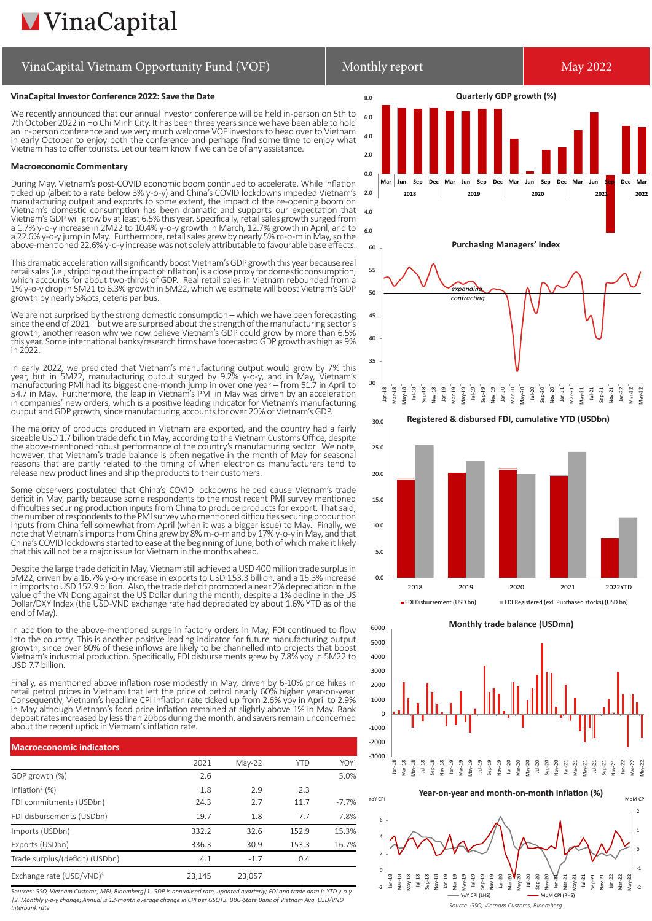# **MVinaCapital**

### **VinaCapital Investor Conference 2022: Save the Date**

We recently announced that our annual investor conference will be held in-person on 5th to 7th October 2022 in Ho Chi Minh City. It has been three years since we have been able to hold an in-person conference and we very much welcome VOF investors to head over to Vietnam in early October to enjoy both the conference and perhaps find some time to enjoy what Vietnam has to offer tourists. Let our team know if we can be of any assistance.

### **Macroeconomic Commentary**

During May, Vietnam's post-COVID economic boom continued to accelerate. While inflation ticked up (albeit to a rate below 3% y-o-y) and China's COVID lockdowns impeded Vietnam's manufacturing output and exports to some extent, the impact of the re-opening boom on Vietnam's domestic consumption has been dramatic and supports our expectation that Vietnam's GDP will grow by at least 6.5% this year. Specifically, retail sales growth surged from a 1.7% y-o-y increase in 2M22 to 10.4% y-o-y growth in March, 12.7% growth in April, and to a 22.6% y-o-y jump in May. Furthermore, retail sales grew by nearly 5% m-o-m in May, so the above-mentioned 22.6% y-o-y increase was not solely attributable to favourable base effects.

This dramatic acceleration will significantly boost Vietnam's GDP growth this year because real retail sales (i.e., stripping out the impact of inflation) is a close proxy for domestic consumption, which accounts for about two-thirds of GDP. Real retail sales in Vietnam rebounded from a 1% y-o-y drop in 5M21 to 6.3% growth in 5M22, which we estimate will boost Vietnam's GDP growth by nearly 5%pts, ceteris paribus.

We are not surprised by the strong domestic consumption – which we have been forecasting since the end of 2021 – but we are surprised about the strength of the manufacturing sector's growth, another reason why we now believe Vietnam's GDP could grow by more than 6.5% this year. Some international banks/research firms have forecasted GDP growth as high as 9% in 2022.

In early 2022, we predicted that Vietnam's manufacturing output would grow by 7% this year, but in 5M22, manufacturing output surged by 9.2% y-o-y, and in May, Vietnam's manufacturing PMI had its biggest one-month jump in over one year – from 51.7 in April to 54.7 in May. Furthermore, the leap in Vietnam's PMI in May was driven by an acceleration in companies' new orders, which is a positive leading indicator for Vietnam's manufacturing output and GDP growth, since manufacturing accounts for over 20% of Vietnam's GDP.

The majority of products produced in Vietnam are exported, and the country had a fairly sizeable USD 1.7 billion trade deficit in May, according to the Vietnam Customs Office, despite the above-mentioned robust performance of the country's manufacturing sector. We note, however, that Vietnam's trade balance is often negative in the month of May for seasonal reasons that are partly related to the timing of when electronics manufacturers tend to release new product lines and ship the products to their customers.

Some observers postulated that China's COVID lockdowns helped cause Vietnam's trade deficit in May, partly because some respondents to the most recent PMI survey mentioned difficulties securing production inputs from China to produce products for export. That said, the number of respondents to the PMI survey who mentioned difficulties securing production inputs from China fell somewhat from April (when it was a bigger issue) to May. Finally, we note that Vietnam's imports from China grew by 8% m-o-m and by 17% y-o-y in May, and that China's COVID lockdowns started to ease at the beginning of June, both of which make it likely that this will not be a major issue for Vietnam in the months ahead.

Despite the large trade deficit in May, Vietnam still achieved a USD 400 million trade surplus in 5M22, driven by a 16.7% y-o-y increase in exports to USD 153.3 billion, and a 15.3% increase in imports to USD 152.9 billion. Also, the trade deficit prompted a near 2% depreciation in the value of the VN Dong against the US Dollar during the month, despite a 1% decline in the US Dollar/DXY Index (the USD-VND exchange rate had depreciated by about 1.6% YTD as of the end of May).

In addition to the above-mentioned surge in factory orders in May, FDI continued to flow into the country. This is another positive leading indicator for future manufacturing output growth, since over 80% of these inflows are likely to be channelled into projects that boost Vietnam's industrial production. Specifically, FDI disbursements grew by 7.8% yoy in 5M22 to USD 7.7 billion.

Finally, as mentioned above inflation rose modestly in May, driven by 6-10% price hikes in retail petrol prices in Vietnam that left the price of petrol nearly 60% higher year-on-year. Consequently, Vietnam's headline CPI inflation rate ticked up from 2.6% yoy in April to 2.9% in May although Vietnam's food price inflation remained at slightly above 1% in May. Bank deposit rates increased by less than 20bps during the month, and savers remain unconcerned about the recent uptick in Vietnam's inflation rate.

| <b>Macroeconomic indicators</b>      |        |          |            |                  |
|--------------------------------------|--------|----------|------------|------------------|
|                                      | 2021   | $May-22$ | <b>YTD</b> | YOY <sup>1</sup> |
| GDP growth (%)                       | 2.6    |          |            | 5.0%             |
| Inflation <sup>2</sup> $(\%)$        | 1.8    | 2.9      | 2.3        |                  |
| FDI commitments (USDbn)              | 24.3   | 2.7      | 11.7       | $-7.7%$          |
| FDI disbursements (USDbn)            | 19.7   | 1.8      | 7.7        | 7.8%             |
| Imports (USDbn)                      | 332.2  | 32.6     | 152.9      | 15.3%            |
| Exports (USDbn)                      | 336.3  | 30.9     | 153.3      | 16.7%            |
| Trade surplus/(deficit) (USDbn)      | 4.1    | $-1.7$   | 0.4        |                  |
| Exchange rate (USD/VND) <sup>3</sup> | 23.145 | 23.057   |            |                  |

*Sources: GSO, Vietnam Customs, MPI, Bloomberg|1. GDP is annualised rate, updated quarterly; FDI and trade data is YTD y-o-y |2. Monthly y-o-y change; Annual is 12-month average change in CPI per GSO|3. BBG-State Bank of Vietnam Avg. USD/VND Interbank rate*



**Monthly trade balance (USDmn)**